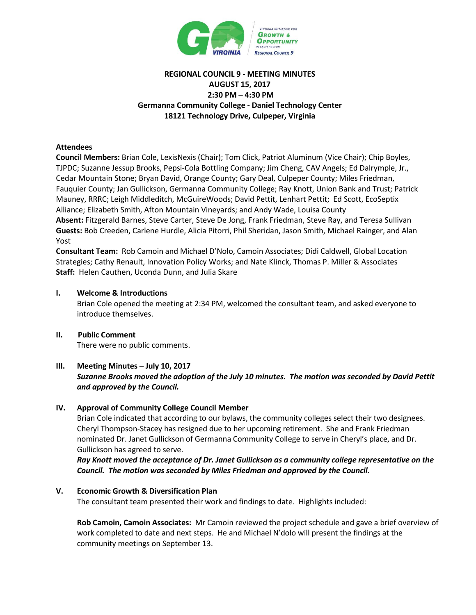

# **REGIONAL COUNCIL 9 - MEETING MINUTES AUGUST 15, 2017 2:30 PM – 4:30 PM Germanna Community College - Daniel Technology Center 18121 Technology Drive, Culpeper, Virginia**

### **Attendees**

**Council Members:** Brian Cole, LexisNexis (Chair); Tom Click, Patriot Aluminum (Vice Chair); Chip Boyles, TJPDC; Suzanne Jessup Brooks, Pepsi-Cola Bottling Company; Jim Cheng, CAV Angels; Ed Dalrymple, Jr., Cedar Mountain Stone; Bryan David, Orange County; Gary Deal, Culpeper County; Miles Friedman, Fauquier County; Jan Gullickson, Germanna Community College; Ray Knott, Union Bank and Trust; Patrick Mauney, RRRC; Leigh Middleditch, McGuireWoods; David Pettit, Lenhart Pettit; Ed Scott, EcoSeptix Alliance; Elizabeth Smith, Afton Mountain Vineyards; and Andy Wade, Louisa County **Absent:** Fitzgerald Barnes, Steve Carter, Steve De Jong, Frank Friedman, Steve Ray, and Teresa Sullivan **Guests:** Bob Creeden, Carlene Hurdle, Alicia Pitorri, Phil Sheridan, Jason Smith, Michael Rainger, and Alan Yost

**Consultant Team:** Rob Camoin and Michael D'Nolo, Camoin Associates; Didi Caldwell, Global Location Strategies; Cathy Renault, Innovation Policy Works; and Nate Klinck, Thomas P. Miller & Associates **Staff:** Helen Cauthen, Uconda Dunn, and Julia Skare

### **I. Welcome & Introductions**

Brian Cole opened the meeting at 2:34 PM, welcomed the consultant team, and asked everyone to introduce themselves.

## **II. Public Comment** There were no public comments.

### **III. Meeting Minutes – July 10, 2017**  *Suzanne Brooks moved the adoption of the July 10 minutes. The motion was seconded by David Pettit and approved by the Council.*

### **IV. Approval of Community College Council Member**

Brian Cole indicated that according to our bylaws, the community colleges select their two designees. Cheryl Thompson-Stacey has resigned due to her upcoming retirement. She and Frank Friedman nominated Dr. Janet Gullickson of Germanna Community College to serve in Cheryl's place, and Dr. Gullickson has agreed to serve.

*Ray Knott moved the acceptance of Dr. Janet Gullickson as a community college representative on the Council. The motion was seconded by Miles Friedman and approved by the Council.*

### **V. Economic Growth & Diversification Plan**

The consultant team presented their work and findings to date. Highlights included:

**Rob Camoin, Camoin Associates:** Mr Camoin reviewed the project schedule and gave a brief overview of work completed to date and next steps. He and Michael N'dolo will present the findings at the community meetings on September 13.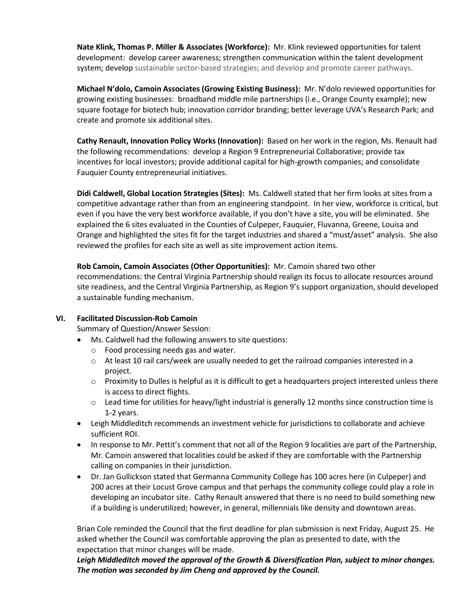**Nate Klink, Thomas P. Miller & Associates (Workforce):** Mr. Klink reviewed opportunities for talent development: develop career awareness; strengthen communication within the talent development system; develop sustainable sector-based strategies; and develop and promote career pathways.

**Michael N'dolo, Camoin Associates (Growing Existing Business):** Mr. N'dolo reviewed opportunities for growing existing businesses: broadband middle mile partnerships (i.e., Orange County example); new square footage for biotech hub; innovation corridor branding; better leverage UVA's Research Park; and create and promote six additional sites.

**Cathy Renault, Innovation Policy Works (Innovation):** Based on her work in the region, Ms. Renault had the following recommendations: develop a Region 9 Entrepreneurial Collaborative; provide tax incentives for local investors; provide additional capital for high-growth companies; and consolidate Fauquier County entrepreneurial initiatives.

**Didi Caldwell, Global Location Strategies (Sites):** Ms. Caldwell stated that her firm looks at sites from a competitive advantage rather than from an engineering standpoint. In her view, workforce is critical, but even if you have the very best workforce available, if you don't have a site, you will be eliminated. She explained the 6 sites evaluated in the Counties of Culpeper, Fauquier, Fluvanna, Greene, Louisa and Orange and highlighted the sites fit for the target industries and shared a "must/asset" analysis. She also reviewed the profiles for each site as well as site improvement action items.

**Rob Camoin, Camoin Associates (Other Opportunities):** Mr. Camoin shared two other recommendations: the Central Virginia Partnership should realign its focus to allocate resources around site readiness, and the Central Virginia Partnership, as Region 9's support organization, should developed a sustainable funding mechanism.

## **VI. Facilitated Discussion-Rob Camoin**

Summary of Question/Answer Session:

- Ms. Caldwell had the following answers to site questions:
	- o Food processing needs gas and water.
	- $\circ$  At least 10 rail cars/week are usually needed to get the railroad companies interested in a project.
	- o Proximity to Dulles is helpful as it is difficult to get a headquarters project interested unless there is access to direct flights.
	- $\circ$  Lead time for utilities for heavy/light industrial is generally 12 months since construction time is 1-2 years.
- Leigh Middleditch recommends an investment vehicle for jurisdictions to collaborate and achieve sufficient ROI.
- In response to Mr. Pettit's comment that not all of the Region 9 localities are part of the Partnership, Mr. Camoin answered that localities could be asked if they are comfortable with the Partnership calling on companies in their jurisdiction.
- Dr. Jan Gullickson stated that Germanna Community College has 100 acres here (in Culpeper) and 200 acres at their Locust Grove campus and that perhaps the community college could play a role in developing an incubator site. Cathy Renault answered that there is no need to build something new if a building is underutilized; however, in general, millennials like density and downtown areas.

Brian Cole reminded the Council that the first deadline for plan submission is next Friday, August 25. He asked whether the Council was comfortable approving the plan as presented to date, with the expectation that minor changes will be made.

*Leigh Middleditch moved the approval of the Growth & Diversification Plan, subject to minor changes. The motion was seconded by Jim Cheng and approved by the Council.*